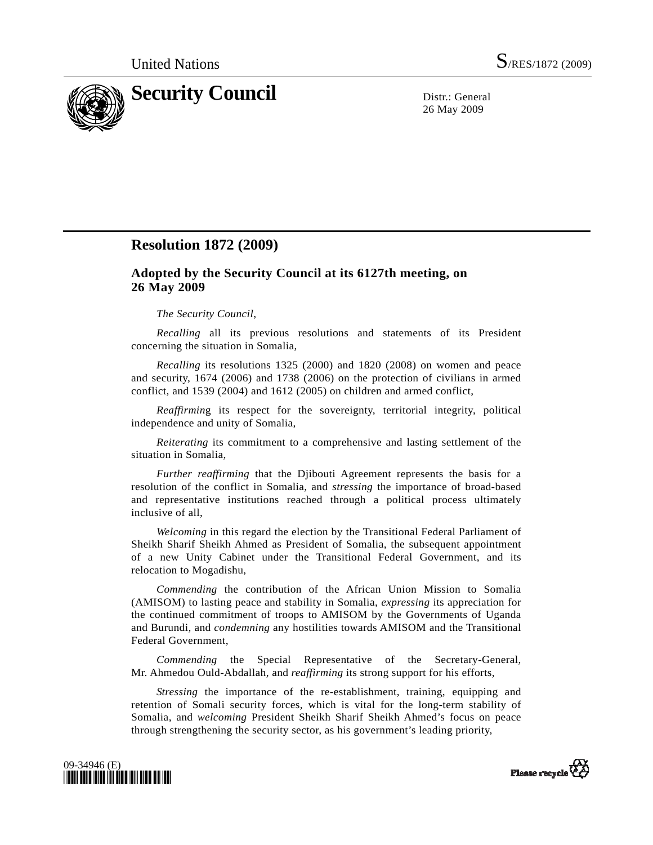

26 May 2009

## **Resolution 1872 (2009)**

## **Adopted by the Security Council at its 6127th meeting, on 26 May 2009**

## *The Security Council*,

*Recalling* all its previous resolutions and statements of its President concerning the situation in Somalia,

*Recalling* its resolutions 1325 (2000) and 1820 (2008) on women and peace and security, 1674 (2006) and 1738 (2006) on the protection of civilians in armed conflict, and 1539 (2004) and 1612 (2005) on children and armed conflict,

*Reaffirmin*g its respect for the sovereignty, territorial integrity, political independence and unity of Somalia,

*Reiterating* its commitment to a comprehensive and lasting settlement of the situation in Somalia,

*Further reaffirming* that the Djibouti Agreement represents the basis for a resolution of the conflict in Somalia, and *stressing* the importance of broad-based and representative institutions reached through a political process ultimately inclusive of all,

*Welcoming* in this regard the election by the Transitional Federal Parliament of Sheikh Sharif Sheikh Ahmed as President of Somalia, the subsequent appointment of a new Unity Cabinet under the Transitional Federal Government, and its relocation to Mogadishu,

*Commending* the contribution of the African Union Mission to Somalia (AMISOM) to lasting peace and stability in Somalia, *expressing* its appreciation for the continued commitment of troops to AMISOM by the Governments of Uganda and Burundi, and *condemning* any hostilities towards AMISOM and the Transitional Federal Government,

*Commending* the Special Representative of the Secretary-General, Mr. Ahmedou Ould-Abdallah, and *reaffirming* its strong support for his efforts,

*Stressing* the importance of the re-establishment, training, equipping and retention of Somali security forces, which is vital for the long-term stability of Somalia, and *welcoming* President Sheikh Sharif Sheikh Ahmed's focus on peace through strengthening the security sector, as his government's leading priority,



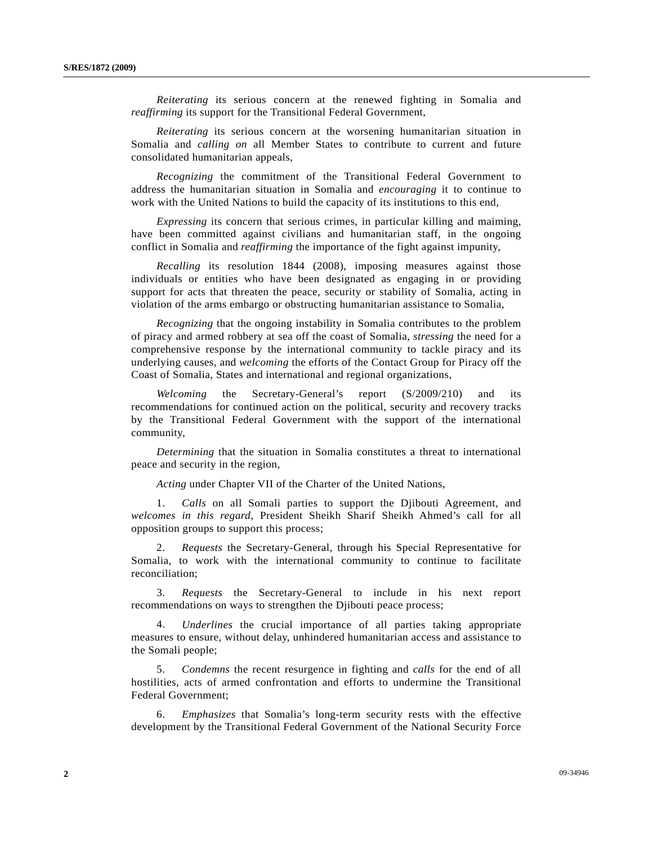*Reiterating* its serious concern at the renewed fighting in Somalia and *reaffirming* its support for the Transitional Federal Government,

*Reiterating* its serious concern at the worsening humanitarian situation in Somalia and *calling on* all Member States to contribute to current and future consolidated humanitarian appeals,

*Recognizing* the commitment of the Transitional Federal Government to address the humanitarian situation in Somalia and *encouraging* it to continue to work with the United Nations to build the capacity of its institutions to this end,

*Expressing* its concern that serious crimes, in particular killing and maiming, have been committed against civilians and humanitarian staff, in the ongoing conflict in Somalia and *reaffirming* the importance of the fight against impunity,

*Recalling* its resolution 1844 (2008), imposing measures against those individuals or entities who have been designated as engaging in or providing support for acts that threaten the peace, security or stability of Somalia, acting in violation of the arms embargo or obstructing humanitarian assistance to Somalia,

*Recognizing* that the ongoing instability in Somalia contributes to the problem of piracy and armed robbery at sea off the coast of Somalia, *stressing* the need for a comprehensive response by the international community to tackle piracy and its underlying causes, and *welcoming* the efforts of the Contact Group for Piracy off the Coast of Somalia, States and international and regional organizations,

*Welcoming* the Secretary-General's report (S/2009/210) and its recommendations for continued action on the political, security and recovery tracks by the Transitional Federal Government with the support of the international community,

*Determining* that the situation in Somalia constitutes a threat to international peace and security in the region,

*Acting* under Chapter VII of the Charter of the United Nations,

 1. *Calls* on all Somali parties to support the Djibouti Agreement, and *welcomes in this regard*, President Sheikh Sharif Sheikh Ahmed's call for all opposition groups to support this process;

 2. *Requests* the Secretary-General, through his Special Representative for Somalia, to work with the international community to continue to facilitate reconciliation;

 3. *Requests* the Secretary-General to include in his next report recommendations on ways to strengthen the Djibouti peace process;

 4. *Underlines* the crucial importance of all parties taking appropriate measures to ensure, without delay, unhindered humanitarian access and assistance to the Somali people;

 5. *Condemns* the recent resurgence in fighting and *calls* for the end of all hostilities, acts of armed confrontation and efforts to undermine the Transitional Federal Government;

 6. *Emphasizes* that Somalia's long-term security rests with the effective development by the Transitional Federal Government of the National Security Force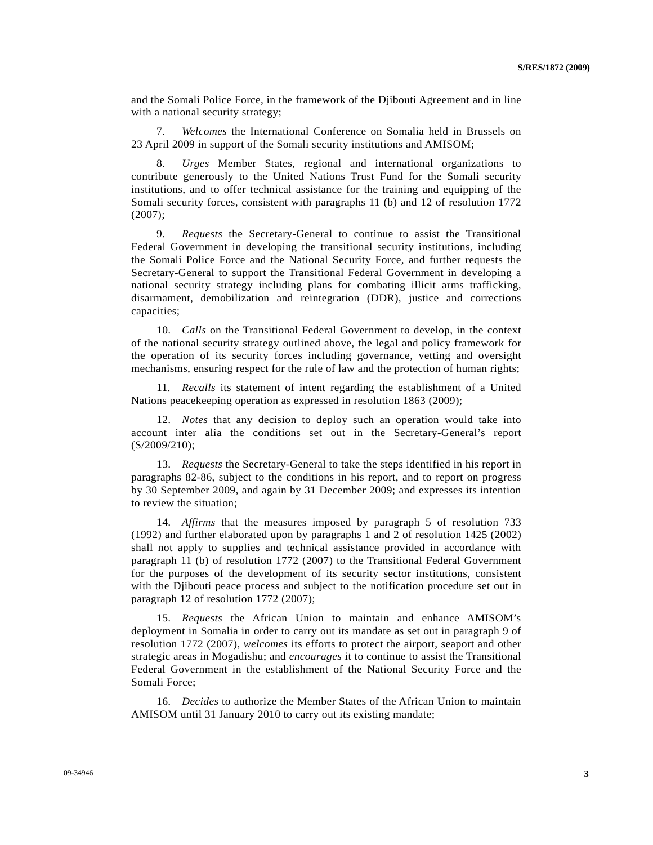and the Somali Police Force, in the framework of the Djibouti Agreement and in line with a national security strategy;

 7. *Welcomes* the International Conference on Somalia held in Brussels on 23 April 2009 in support of the Somali security institutions and AMISOM;

 8. *Urges* Member States, regional and international organizations to contribute generously to the United Nations Trust Fund for the Somali security institutions, and to offer technical assistance for the training and equipping of the Somali security forces, consistent with paragraphs 11 (b) and 12 of resolution 1772 (2007);

 9. *Requests* the Secretary-General to continue to assist the Transitional Federal Government in developing the transitional security institutions, including the Somali Police Force and the National Security Force, and further requests the Secretary-General to support the Transitional Federal Government in developing a national security strategy including plans for combating illicit arms trafficking, disarmament, demobilization and reintegration (DDR), justice and corrections capacities;

 10. *Calls* on the Transitional Federal Government to develop, in the context of the national security strategy outlined above, the legal and policy framework for the operation of its security forces including governance, vetting and oversight mechanisms, ensuring respect for the rule of law and the protection of human rights;

 11. *Recalls* its statement of intent regarding the establishment of a United Nations peacekeeping operation as expressed in resolution 1863 (2009);

 12. *Notes* that any decision to deploy such an operation would take into account inter alia the conditions set out in the Secretary-General's report (S/2009/210);

 13. *Requests* the Secretary-General to take the steps identified in his report in paragraphs 82-86, subject to the conditions in his report, and to report on progress by 30 September 2009, and again by 31 December 2009; and expresses its intention to review the situation;

 14. *Affirms* that the measures imposed by paragraph 5 of resolution 733 (1992) and further elaborated upon by paragraphs 1 and 2 of resolution 1425 (2002) shall not apply to supplies and technical assistance provided in accordance with paragraph 11 (b) of resolution 1772 (2007) to the Transitional Federal Government for the purposes of the development of its security sector institutions, consistent with the Djibouti peace process and subject to the notification procedure set out in paragraph 12 of resolution 1772 (2007);

 15. *Requests* the African Union to maintain and enhance AMISOM's deployment in Somalia in order to carry out its mandate as set out in paragraph 9 of resolution 1772 (2007), *welcomes* its efforts to protect the airport, seaport and other strategic areas in Mogadishu; and *encourages* it to continue to assist the Transitional Federal Government in the establishment of the National Security Force and the Somali Force;

 16. *Decides* to authorize the Member States of the African Union to maintain AMISOM until 31 January 2010 to carry out its existing mandate;